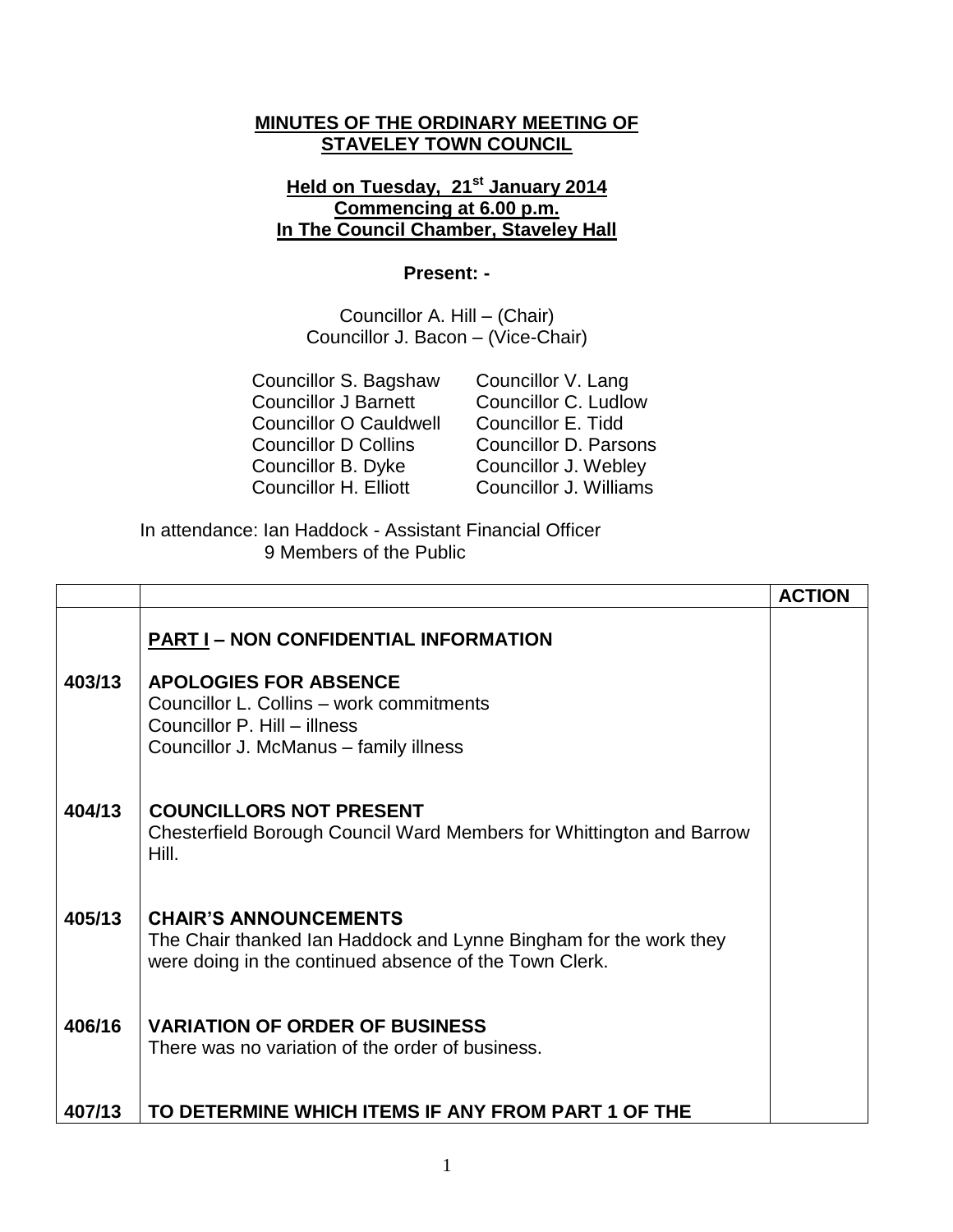## **MINUTES OF THE ORDINARY MEETING OF STAVELEY TOWN COUNCIL**

## **Held on Tuesday, 21st January 2014 Commencing at 6.00 p.m. In The Council Chamber, Staveley Hall**

## **Present: -**

Councillor A. Hill – (Chair) Councillor J. Bacon – (Vice-Chair)

| Councillor C. Ludlow         |
|------------------------------|
|                              |
| <b>Councillor D. Parsons</b> |
| Councillor J. Webley         |
| Councillor J. Williams       |
|                              |

In attendance: Ian Haddock - Assistant Financial Officer 9 Members of the Public

|        |                                                                                                                                                                                                    | <b>ACTION</b> |
|--------|----------------------------------------------------------------------------------------------------------------------------------------------------------------------------------------------------|---------------|
| 403/13 | <b>PART I – NON CONFIDENTIAL INFORMATION</b><br><b>APOLOGIES FOR ABSENCE</b><br>Councillor L. Collins - work commitments<br>Councillor P. Hill - illness<br>Councillor J. McManus - family illness |               |
| 404/13 | <b>COUNCILLORS NOT PRESENT</b><br>Chesterfield Borough Council Ward Members for Whittington and Barrow<br>Hill.                                                                                    |               |
| 405/13 | <b>CHAIR'S ANNOUNCEMENTS</b><br>The Chair thanked Ian Haddock and Lynne Bingham for the work they<br>were doing in the continued absence of the Town Clerk.                                        |               |
| 406/16 | <b>VARIATION OF ORDER OF BUSINESS</b><br>There was no variation of the order of business.                                                                                                          |               |
| 407/13 | TO DETERMINE WHICH ITEMS IF ANY FROM PART 1 OF THE                                                                                                                                                 |               |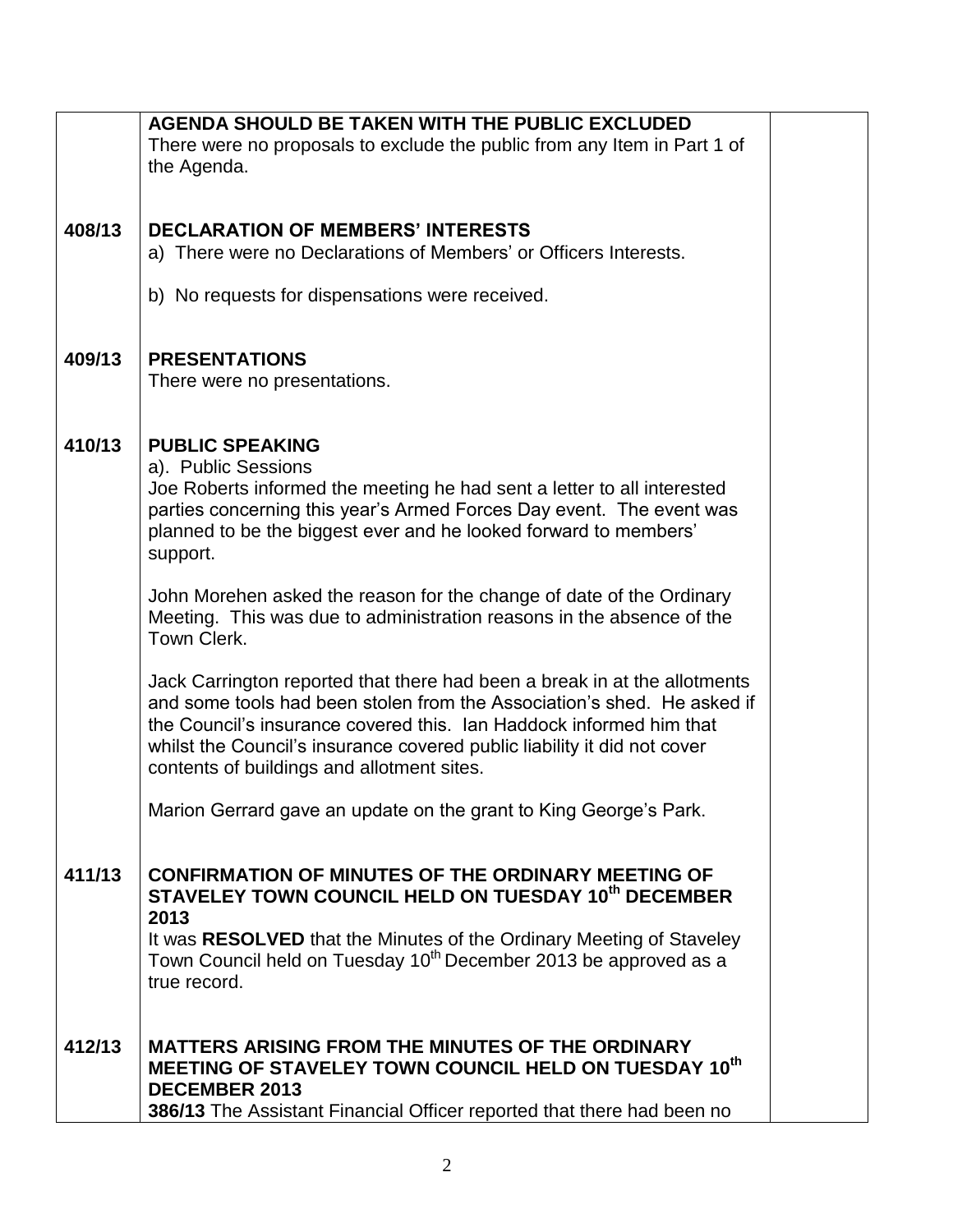|        | <b>AGENDA SHOULD BE TAKEN WITH THE PUBLIC EXCLUDED</b>                                                                                               |  |
|--------|------------------------------------------------------------------------------------------------------------------------------------------------------|--|
|        | There were no proposals to exclude the public from any Item in Part 1 of                                                                             |  |
|        | the Agenda.                                                                                                                                          |  |
|        |                                                                                                                                                      |  |
| 408/13 | <b>DECLARATION OF MEMBERS' INTERESTS</b>                                                                                                             |  |
|        | a) There were no Declarations of Members' or Officers Interests.                                                                                     |  |
|        |                                                                                                                                                      |  |
|        | b) No requests for dispensations were received.                                                                                                      |  |
|        |                                                                                                                                                      |  |
|        |                                                                                                                                                      |  |
| 409/13 | <b>PRESENTATIONS</b>                                                                                                                                 |  |
|        | There were no presentations.                                                                                                                         |  |
|        |                                                                                                                                                      |  |
| 410/13 | <b>PUBLIC SPEAKING</b>                                                                                                                               |  |
|        | a). Public Sessions                                                                                                                                  |  |
|        | Joe Roberts informed the meeting he had sent a letter to all interested                                                                              |  |
|        | parties concerning this year's Armed Forces Day event. The event was                                                                                 |  |
|        | planned to be the biggest ever and he looked forward to members'                                                                                     |  |
|        | support.                                                                                                                                             |  |
|        |                                                                                                                                                      |  |
|        | John Morehen asked the reason for the change of date of the Ordinary<br>Meeting. This was due to administration reasons in the absence of the        |  |
|        | Town Clerk.                                                                                                                                          |  |
|        |                                                                                                                                                      |  |
|        | Jack Carrington reported that there had been a break in at the allotments                                                                            |  |
|        | and some tools had been stolen from the Association's shed. He asked if                                                                              |  |
|        | the Council's insurance covered this. Ian Haddock informed him that                                                                                  |  |
|        | whilst the Council's insurance covered public liability it did not cover                                                                             |  |
|        | contents of buildings and allotment sites.                                                                                                           |  |
|        | Marion Gerrard gave an update on the grant to King George's Park.                                                                                    |  |
|        |                                                                                                                                                      |  |
|        |                                                                                                                                                      |  |
| 411/13 | <b>CONFIRMATION OF MINUTES OF THE ORDINARY MEETING OF</b>                                                                                            |  |
|        | STAVELEY TOWN COUNCIL HELD ON TUESDAY 10th DECEMBER                                                                                                  |  |
|        | 2013                                                                                                                                                 |  |
|        | It was RESOLVED that the Minutes of the Ordinary Meeting of Staveley<br>Town Council held on Tuesday 10 <sup>th</sup> December 2013 be approved as a |  |
|        | true record.                                                                                                                                         |  |
|        |                                                                                                                                                      |  |
|        |                                                                                                                                                      |  |
| 412/13 | <b>MATTERS ARISING FROM THE MINUTES OF THE ORDINARY</b>                                                                                              |  |
|        | MEETING OF STAVELEY TOWN COUNCIL HELD ON TUESDAY 10th                                                                                                |  |
|        | <b>DECEMBER 2013</b>                                                                                                                                 |  |
|        | 386/13 The Assistant Financial Officer reported that there had been no                                                                               |  |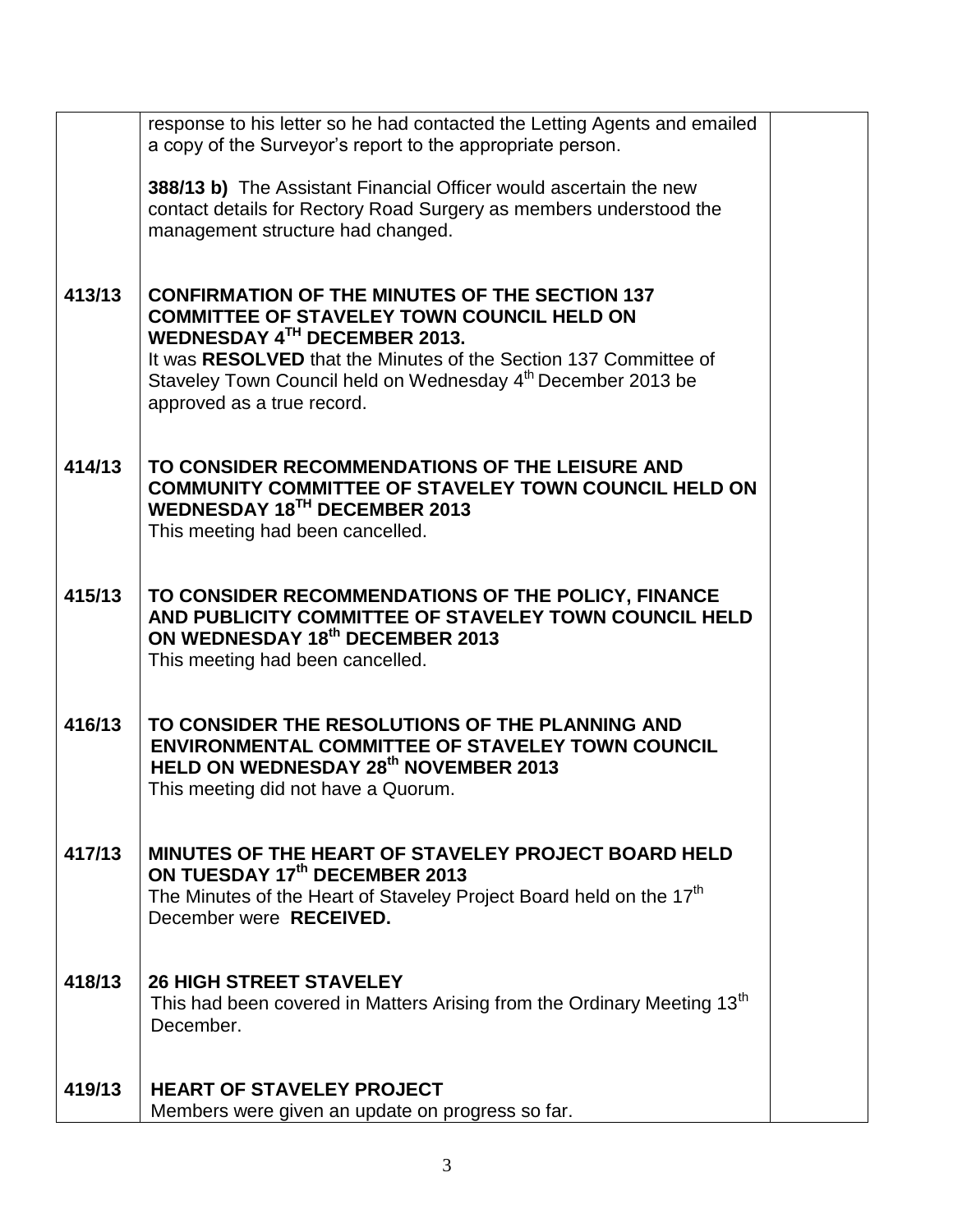|        | response to his letter so he had contacted the Letting Agents and emailed<br>a copy of the Surveyor's report to the appropriate person.                                                                                                                                                                                  |  |
|--------|--------------------------------------------------------------------------------------------------------------------------------------------------------------------------------------------------------------------------------------------------------------------------------------------------------------------------|--|
|        | <b>388/13 b)</b> The Assistant Financial Officer would ascertain the new<br>contact details for Rectory Road Surgery as members understood the<br>management structure had changed.                                                                                                                                      |  |
| 413/13 | <b>CONFIRMATION OF THE MINUTES OF THE SECTION 137</b><br><b>COMMITTEE OF STAVELEY TOWN COUNCIL HELD ON</b><br>WEDNESDAY 4TH DECEMBER 2013.<br>It was RESOLVED that the Minutes of the Section 137 Committee of<br>Staveley Town Council held on Wednesday 4 <sup>th</sup> December 2013 be<br>approved as a true record. |  |
| 414/13 | TO CONSIDER RECOMMENDATIONS OF THE LEISURE AND<br><b>COMMUNITY COMMITTEE OF STAVELEY TOWN COUNCIL HELD ON</b><br><b>WEDNESDAY 18TH DECEMBER 2013</b><br>This meeting had been cancelled.                                                                                                                                 |  |
| 415/13 | TO CONSIDER RECOMMENDATIONS OF THE POLICY, FINANCE<br>AND PUBLICITY COMMITTEE OF STAVELEY TOWN COUNCIL HELD<br>ON WEDNESDAY 18th DECEMBER 2013<br>This meeting had been cancelled.                                                                                                                                       |  |
| 416/13 | TO CONSIDER THE RESOLUTIONS OF THE PLANNING AND<br><b>ENVIRONMENTAL COMMITTEE OF STAVELEY TOWN COUNCIL</b><br>HELD ON WEDNESDAY 28 <sup>th</sup> NOVEMBER 2013<br>This meeting did not have a Quorum.                                                                                                                    |  |
| 417/13 | MINUTES OF THE HEART OF STAVELEY PROJECT BOARD HELD<br>ON TUESDAY 17th DECEMBER 2013<br>The Minutes of the Heart of Staveley Project Board held on the 17 <sup>th</sup><br>December were RECEIVED.                                                                                                                       |  |
| 418/13 | <b>26 HIGH STREET STAVELEY</b><br>This had been covered in Matters Arising from the Ordinary Meeting 13 <sup>th</sup><br>December.                                                                                                                                                                                       |  |
| 419/13 | <b>HEART OF STAVELEY PROJECT</b><br>Members were given an update on progress so far.                                                                                                                                                                                                                                     |  |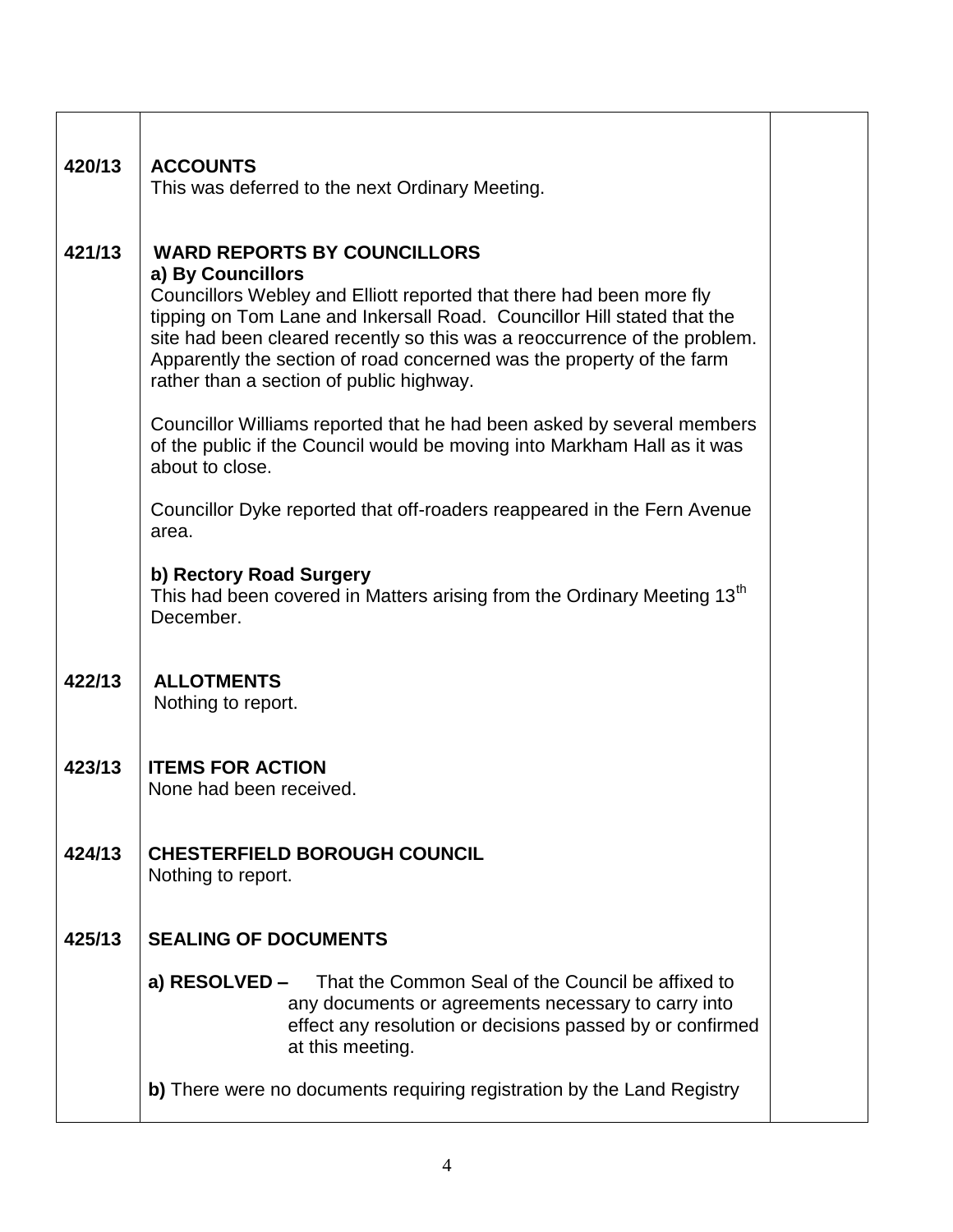| 420/13 | <b>ACCOUNTS</b><br>This was deferred to the next Ordinary Meeting.                                                                                                                                                                                                                                                                                                                                           |  |
|--------|--------------------------------------------------------------------------------------------------------------------------------------------------------------------------------------------------------------------------------------------------------------------------------------------------------------------------------------------------------------------------------------------------------------|--|
| 421/13 | <b>WARD REPORTS BY COUNCILLORS</b><br>a) By Councillors<br>Councillors Webley and Elliott reported that there had been more fly<br>tipping on Tom Lane and Inkersall Road. Councillor Hill stated that the<br>site had been cleared recently so this was a reoccurrence of the problem.<br>Apparently the section of road concerned was the property of the farm<br>rather than a section of public highway. |  |
|        | Councillor Williams reported that he had been asked by several members<br>of the public if the Council would be moving into Markham Hall as it was<br>about to close.                                                                                                                                                                                                                                        |  |
|        | Councillor Dyke reported that off-roaders reappeared in the Fern Avenue<br>area.                                                                                                                                                                                                                                                                                                                             |  |
|        | b) Rectory Road Surgery<br>This had been covered in Matters arising from the Ordinary Meeting 13 <sup>th</sup><br>December.                                                                                                                                                                                                                                                                                  |  |
| 422/13 | <b>ALLOTMENTS</b><br>Nothing to report.                                                                                                                                                                                                                                                                                                                                                                      |  |
| 423/13 | <b>ITEMS FOR ACTION</b><br>None had been received.                                                                                                                                                                                                                                                                                                                                                           |  |
| 424/13 | <b>CHESTERFIELD BOROUGH COUNCIL</b><br>Nothing to report.                                                                                                                                                                                                                                                                                                                                                    |  |
| 425/13 | <b>SEALING OF DOCUMENTS</b>                                                                                                                                                                                                                                                                                                                                                                                  |  |
|        | a) RESOLVED - That the Common Seal of the Council be affixed to<br>any documents or agreements necessary to carry into<br>effect any resolution or decisions passed by or confirmed<br>at this meeting.                                                                                                                                                                                                      |  |
|        | b) There were no documents requiring registration by the Land Registry                                                                                                                                                                                                                                                                                                                                       |  |